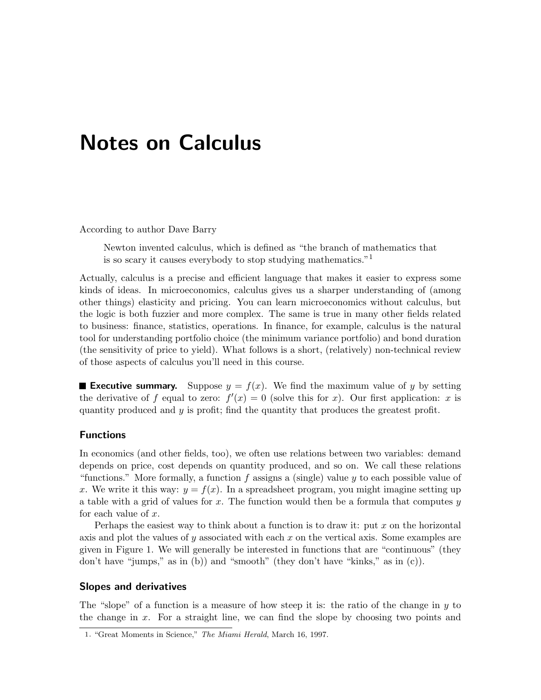# Notes on Calculus

According to author Dave Barry

Newton invented calculus, which is defined as "the branch of mathematics that is so scary it causes everybody to stop studying mathematics."<sup>1</sup>

Actually, calculus is a precise and efficient language that makes it easier to express some kinds of ideas. In microeconomics, calculus gives us a sharper understanding of (among other things) elasticity and pricing. You can learn microeconomics without calculus, but the logic is both fuzzier and more complex. The same is true in many other fields related to business: finance, statistics, operations. In finance, for example, calculus is the natural tool for understanding portfolio choice (the minimum variance portfolio) and bond duration (the sensitivity of price to yield). What follows is a short, (relatively) non-technical review of those aspects of calculus you'll need in this course.

**Executive summary.** Suppose  $y = f(x)$ . We find the maximum value of y by setting the derivative of f equal to zero:  $f'(x) = 0$  (solve this for x). Our first application: x is quantity produced and  $y$  is profit; find the quantity that produces the greatest profit.

# Functions

In economics (and other fields, too), we often use relations between two variables: demand depends on price, cost depends on quantity produced, and so on. We call these relations "functions." More formally, a function f assigns a (single) value  $\eta$  to each possible value of x. We write it this way:  $y = f(x)$ . In a spreadsheet program, you might imagine setting up a table with a grid of values for x. The function would then be a formula that computes  $y$ for each value of  $x$ .

Perhaps the easiest way to think about a function is to draw it: put  $x$  on the horizontal axis and plot the values of y associated with each x on the vertical axis. Some examples are given in Figure 1. We will generally be interested in functions that are "continuous" (they don't have "jumps," as in (b)) and "smooth" (they don't have "kinks," as in (c)).

### Slopes and derivatives

The "slope" of a function is a measure of how steep it is: the ratio of the change in  $y$  to the change in x. For a straight line, we can find the slope by choosing two points and

<sup>1</sup>. "Great Moments in Science," The Miami Herald, March 16, 1997.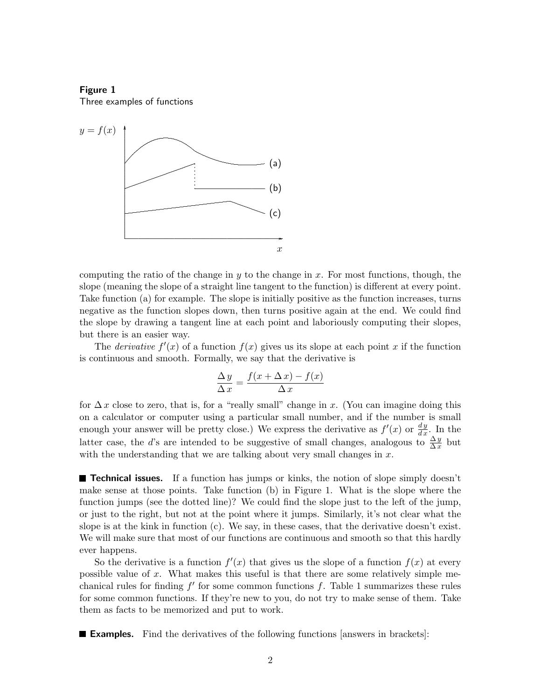#### Figure 1

Three examples of functions



computing the ratio of the change in  $y$  to the change in x. For most functions, though, the slope (meaning the slope of a straight line tangent to the function) is different at every point. Take function (a) for example. The slope is initially positive as the function increases, turns negative as the function slopes down, then turns positive again at the end. We could find the slope by drawing a tangent line at each point and laboriously computing their slopes, but there is an easier way.

The *derivative*  $f'(x)$  of a function  $f(x)$  gives us its slope at each point x if the function is continuous and smooth. Formally, we say that the derivative is

$$
\frac{\Delta y}{\Delta x} = \frac{f(x + \Delta x) - f(x)}{\Delta x}
$$

for  $\Delta x$  close to zero, that is, for a "really small" change in x. (You can imagine doing this on a calculator or computer using a particular small number, and if the number is small enough your answer will be pretty close.) We express the derivative as  $f'(x)$  or  $\frac{dy}{dx}$ . In the latter case, the d's are intended to be suggestive of small changes, analogous to  $\frac{\Delta y}{\Delta x}$  but with the understanding that we are talking about very small changes in  $x$ .

**Technical issues.** If a function has jumps or kinks, the notion of slope simply doesn't make sense at those points. Take function (b) in Figure 1. What is the slope where the function jumps (see the dotted line)? We could find the slope just to the left of the jump, or just to the right, but not at the point where it jumps. Similarly, it's not clear what the slope is at the kink in function  $(c)$ . We say, in these cases, that the derivative doesn't exist. We will make sure that most of our functions are continuous and smooth so that this hardly ever happens.

So the derivative is a function  $f'(x)$  that gives us the slope of a function  $f(x)$  at every possible value of x. What makes this useful is that there are some relatively simple mechanical rules for finding  $f'$  for some common functions  $f$ . Table 1 summarizes these rules for some common functions. If they're new to you, do not try to make sense of them. Take them as facts to be memorized and put to work.

**Examples.** Find the derivatives of the following functions [answers in brackets]: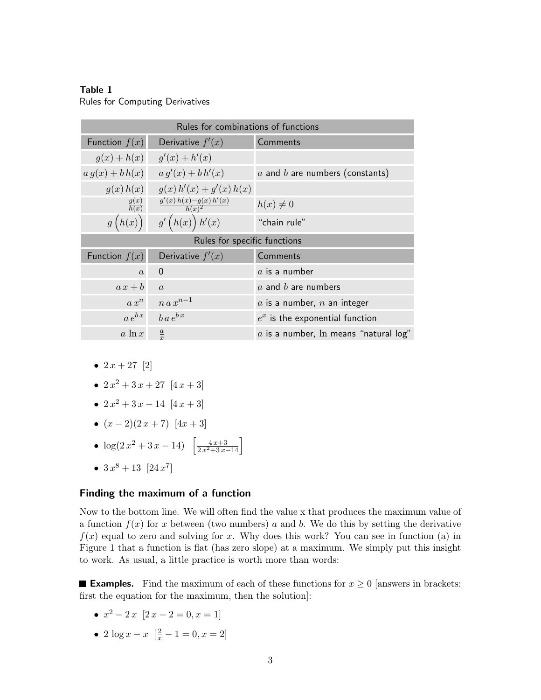| Rules for combinations of functions |                                      |                                           |
|-------------------------------------|--------------------------------------|-------------------------------------------|
| Function $f(x)$                     | Derivative $f'(x)$                   | Comments                                  |
| $g(x) + h(x)$                       | $g'(x) + h'(x)$                      |                                           |
| $a g(x) + b h(x)$                   | $a g'(x) + b h'(x)$                  | $a$ and $b$ are numbers (constants)       |
| g(x)h(x)                            | $g(x) h'(x) + g'(x) h(x)$            |                                           |
| $rac{g(x)}{h(x)}$                   | $\frac{g'(x)h(x)-g(x)h'(x)}{h(x)^2}$ | $h(x) \neq 0$                             |
|                                     | $g(h(x)) = g'(h(x))h'(x)$            | "chain rule"                              |
| Rules for specific functions        |                                      |                                           |
| Function $f(x)$                     | Derivative $f'(x)$                   | Comments                                  |
| $\alpha$                            | $\Omega$                             | $a$ is a number                           |
| $ax + b$                            | $\mathfrak{a}$                       | $a$ and $b$ are numbers                   |
| $a x^n$                             | $n \, a \, x^{n-1}$                  | $a$ is a number, $n$ an integer           |
| $a e^{bx}$                          | $b\,a\,e^{b\,x}$                     | $e^x$ is the exponential function         |
| $a \ln x$                           | $\frac{a}{r}$                        | $a$ is a number, $\ln$ means "natural log |

Table 1 Rules for Computing Derivatives

- $2x + 27$  [2]
- $2x^2 + 3x + 27$  [4x + 3]

 $\overline{x}$ 

- $2x^2 + 3x 14 [4x + 3]$
- $(x-2)(2x+7)$  [4x + 3]
- $\log(2x^2 + 3x 14) \left[ \frac{4x+3}{2x^2+3x-14} \right]$
- $3x^8 + 13 \left[24x^7\right]$

# Finding the maximum of a function

Now to the bottom line. We will often find the value x that produces the maximum value of a function  $f(x)$  for x between (two numbers) a and b. We do this by setting the derivative  $f(x)$  equal to zero and solving for x. Why does this work? You can see in function (a) in Figure 1 that a function is flat (has zero slope) at a maximum. We simply put this insight to work. As usual, a little practice is worth more than words:

**■ Examples.** Find the maximum of each of these functions for  $x \ge 0$  [answers in brackets: first the equation for the maximum, then the solution]:

- $x^2 2x$  [2x 2 = 0, x = 1]
- $2 \log x x \left[ \frac{2}{x} 1 \right] = 0, x = 2$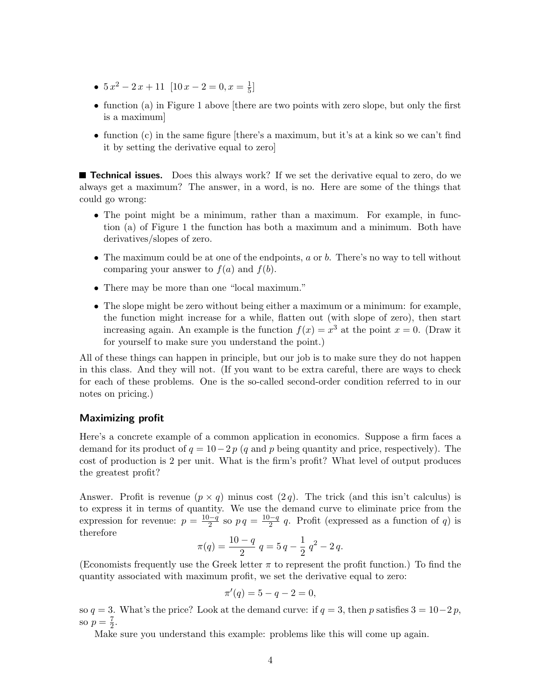- $5x^2 2x + 11$   $[10x 2] = 0, x = \frac{1}{5}$  $\frac{1}{5}]$
- function (a) in Figure 1 above [there are two points with zero slope, but only the first is a maximum]
- function (c) in the same figure [there's a maximum, but it's at a kink so we can't find it by setting the derivative equal to zero]

**Technical issues.** Does this always work? If we set the derivative equal to zero, do we always get a maximum? The answer, in a word, is no. Here are some of the things that could go wrong:

- The point might be a minimum, rather than a maximum. For example, in function (a) of Figure 1 the function has both a maximum and a minimum. Both have derivatives/slopes of zero.
- The maximum could be at one of the endpoints,  $a$  or  $b$ . There's no way to tell without comparing your answer to  $f(a)$  and  $f(b)$ .
- There may be more than one "local maximum."
- The slope might be zero without being either a maximum or a minimum: for example, the function might increase for a while, flatten out (with slope of zero), then start increasing again. An example is the function  $f(x) = x^3$  at the point  $x = 0$ . (Draw it for yourself to make sure you understand the point.)

All of these things can happen in principle, but our job is to make sure they do not happen in this class. And they will not. (If you want to be extra careful, there are ways to check for each of these problems. One is the so-called second-order condition referred to in our notes on pricing.)

# Maximizing profit

Here's a concrete example of a common application in economics. Suppose a firm faces a demand for its product of  $q = 10-2p$  (q and p being quantity and price, respectively). The cost of production is 2 per unit. What is the firm's profit? What level of output produces the greatest profit?

Answer. Profit is revenue  $(p \times q)$  minus cost  $(2 q)$ . The trick (and this isn't calculus) is to express it in terms of quantity. We use the demand curve to eliminate price from the expression for revenue:  $p = \frac{10-q}{2}$  $\frac{q}{2}$  so  $pq = \frac{10-q}{2}$  $\frac{q}{2}$  q. Profit (expressed as a function of q) is therefore

$$
\pi(q) = \frac{10 - q}{2} q = 5 q - \frac{1}{2} q^{2} - 2 q.
$$

(Economists frequently use the Greek letter  $\pi$  to represent the profit function.) To find the quantity associated with maximum profit, we set the derivative equal to zero:

$$
\pi'(q) = 5 - q - 2 = 0,
$$

so  $q = 3$ . What's the price? Look at the demand curve: if  $q = 3$ , then p satisfies  $3 = 10-2p$ , so  $p=\frac{7}{2}$  $\frac{7}{2}$ .

Make sure you understand this example: problems like this will come up again.